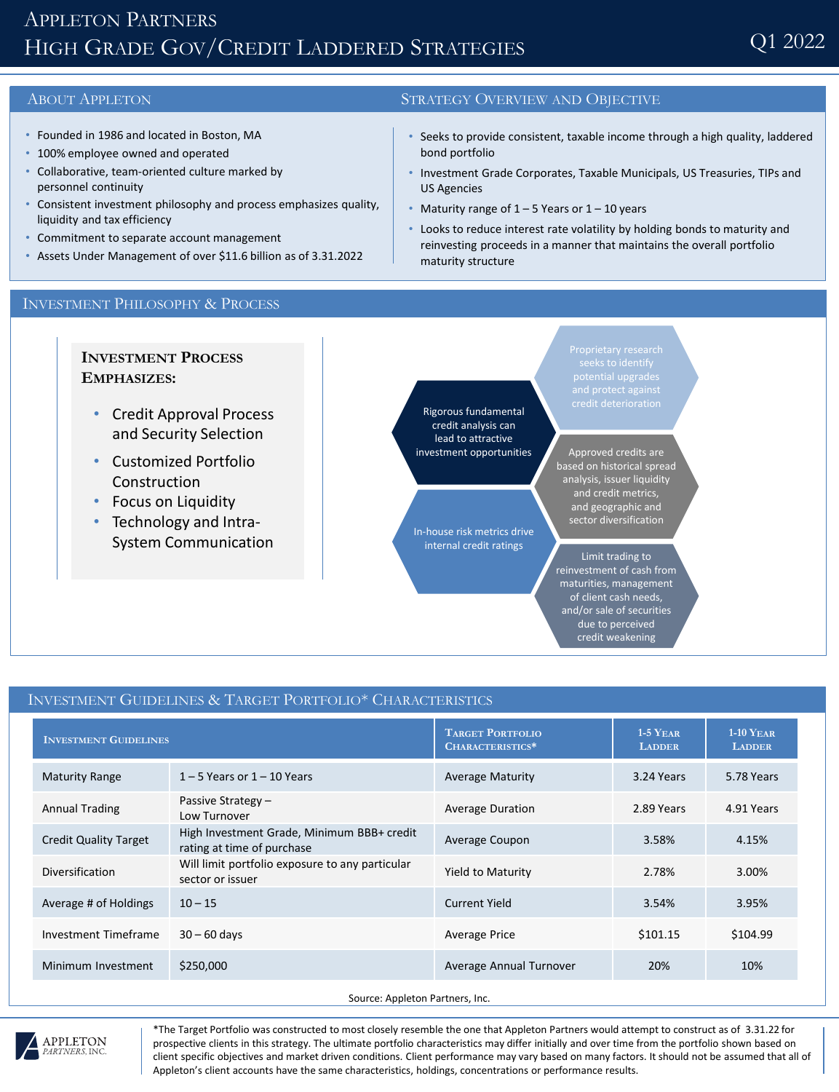# APPLETON PARTNERS HIGH GRADE GOV/CREDIT LADDERED STRATEGIES

## ABOUT APPLETON STRATEGY OVERVIEW AND OBJECTIVE

- Founded in 1986 and located in Boston, MA
- 100% employee owned and operated
- Collaborative, team-oriented culture marked by personnel continuity
- Consistent investment philosophy and process emphasizes quality, liquidity and tax efficiency
- Commitment to separate account management
- Assets Under Management of over \$11.6 billion as of 3.31.2022

#### Seeks to provide consistent, taxable income through a high quality, laddered bond portfolio

- Investment Grade Corporates, Taxable Municipals, US Treasuries, TIPs and US Agencies
- Maturity range of  $1 5$  Years or  $1 10$  years
- Looks to reduce interest rate volatility by holding bonds to maturity and reinvesting proceeds in a manner that maintains the overall portfolio maturity structure

#### INVESTMENT PHILOSOPHY & PROCESS

**INVESTMENT PROCESS EMPHASIZES:**

- Credit Approval Process and Security Selection
- Customized Portfolio Construction
- Focus on Liquidity
- Technology and Intra-System Communication

Rigorous fundamental credit analysis can lead to attractive investment opportunities

In-house risk metrics drive internal credit ratings

credit deterioration

Approved credits are based on historical spread analysis, issuer liquidity and credit metrics, and geographic and sector diversification

Limit trading to reinvestment of cash from maturities, management of client cash needs, and/or sale of securities due to perceived credit weakening

### INVESTMENT GUIDELINES & TARGET PORTFOLIO\* CHARACTERISTICS

| <b>INVESTMENT GUIDELINES</b> |                                                                          | <b>TARGET PORTFOLIO</b><br>CHARACTERISTICS* | $1-5$ YEAR<br><b>LADDER</b> | $1-10$ YEAR<br><b>LADDER</b> |
|------------------------------|--------------------------------------------------------------------------|---------------------------------------------|-----------------------------|------------------------------|
| <b>Maturity Range</b>        | $1 - 5$ Years or $1 - 10$ Years                                          | <b>Average Maturity</b>                     | 3.24 Years                  | 5.78 Years                   |
| <b>Annual Trading</b>        | Passive Strategy $-$<br>Low Turnover                                     | <b>Average Duration</b>                     | 2.89 Years                  | 4.91 Years                   |
| <b>Credit Quality Target</b> | High Investment Grade, Minimum BBB+ credit<br>rating at time of purchase | Average Coupon                              | 3.58%                       | 4.15%                        |
| Diversification              | Will limit portfolio exposure to any particular<br>sector or issuer      | <b>Yield to Maturity</b>                    | 2.78%                       | 3.00%                        |
| Average # of Holdings        | $10 - 15$                                                                | Current Yield                               | 3.54%                       | 3.95%                        |
| Investment Timeframe         | $30 - 60$ days                                                           | Average Price                               | \$101.15                    | \$104.99                     |
| Minimum Investment           | \$250,000                                                                | Average Annual Turnover                     | 20%                         | 10%                          |

Source: Appleton Partners, Inc.



\*The Target Portfolio was constructed to most closely resemble the one that Appleton Partners would attempt to construct as of 3.31.22 for prospective clients in this strategy. The ultimate portfolio characteristics may differ initially and over time from the portfolio shown based on client specific objectives and market driven conditions. Client performance may vary based on many factors. It should not be assumed that all of Appleton's client accounts have the same characteristics, holdings, concentrations or performance results.